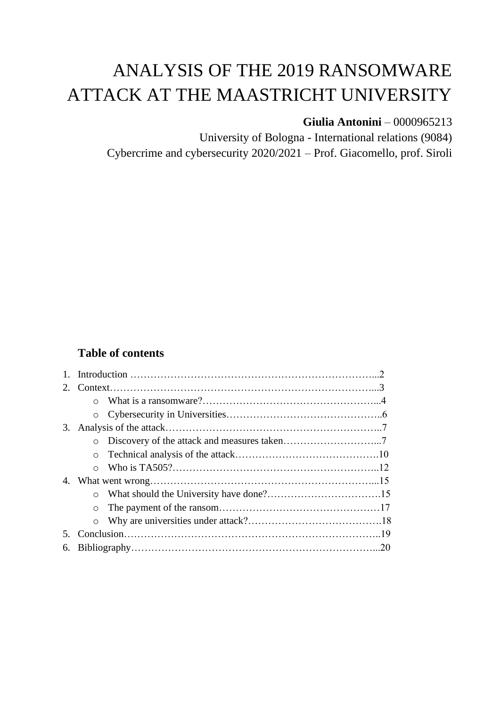# ANALYSIS OF THE 2019 RANSOMWARE ATTACK AT THE MAASTRICHT UNIVERSITY

# **Giulia Antonini** – 0000965213

University of Bologna - International relations (9084) Cybercrime and cybersecurity 2020/2021 – Prof. Giacomello, prof. Siroli

# **Table of contents**

| $2^{\circ}$ |         |  |  |  |  |
|-------------|---------|--|--|--|--|
|             | $\circ$ |  |  |  |  |
|             |         |  |  |  |  |
| 3.          |         |  |  |  |  |
|             | $\circ$ |  |  |  |  |
|             |         |  |  |  |  |
|             |         |  |  |  |  |
| 4.          |         |  |  |  |  |
|             |         |  |  |  |  |
|             | $\circ$ |  |  |  |  |
|             |         |  |  |  |  |
| 5.          |         |  |  |  |  |
| 6.          |         |  |  |  |  |
|             |         |  |  |  |  |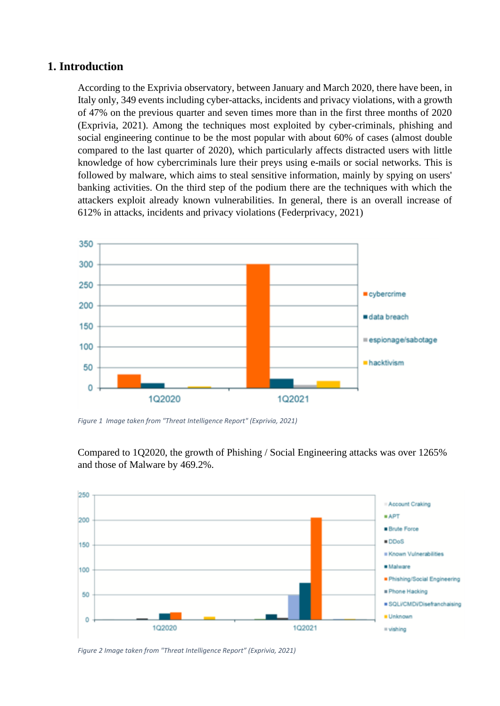## **1. Introduction**

According to the Exprivia observatory, between January and March 2020, there have been, in Italy only, 349 events including cyber-attacks, incidents and privacy violations, with a growth of 47% on the previous quarter and seven times more than in the first three months of 2020 (Exprivia, 2021). Among the techniques most exploited by cyber-criminals, phishing and social engineering continue to be the most popular with about 60% of cases (almost double compared to the last quarter of 2020), which particularly affects distracted users with little knowledge of how cybercriminals lure their preys using e-mails or social networks. This is followed by malware, which aims to steal sensitive information, mainly by spying on users' banking activities. On the third step of the podium there are the techniques with which the attackers exploit already known vulnerabilities. In general, there is an overall increase of 612% in attacks, incidents and privacy violations (Federprivacy, 2021)



*Figure 1 Image taken from "Threat Intelligence Report" (Exprivia, 2021)*

Compared to 1Q2020, the growth of Phishing / Social Engineering attacks was over 1265% and those of Malware by 469.2%.



*Figure 2 Image taken from "Threat Intelligence Report" (Exprivia, 2021)*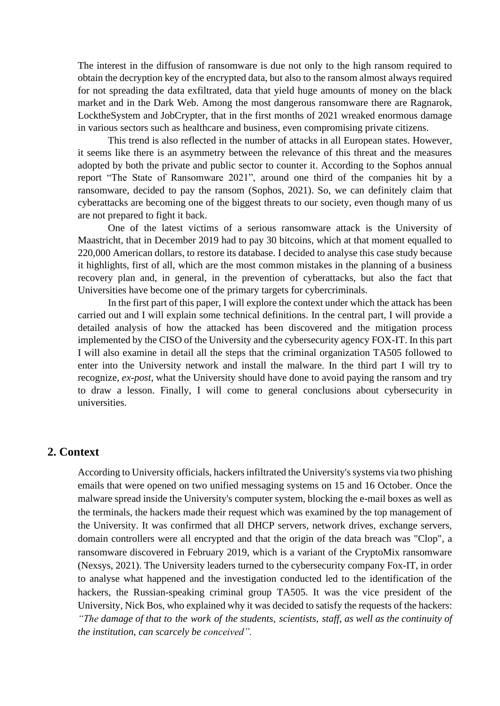The interest in the diffusion of ransomware is due not only to the high ransom required to obtain the decryption key of the encrypted data, but also to the ransom almost always required for not spreading the data exfiltrated, data that yield huge amounts of money on the black market and in the Dark Web. Among the most dangerous ransomware there are Ragnarok, LocktheSystem and JobCrypter, that in the first months of 2021 wreaked enormous damage in various sectors such as healthcare and business, even compromising private citizens.

This trend is also reflected in the number of attacks in all European states. However, it seems like there is an asymmetry between the relevance of this threat and the measures adopted by both the private and public sector to counter it. According to the Sophos annual report "The State of Ransomware 2021", around one third of the companies hit by a ransomware, decided to pay the ransom (Sophos, 2021). So, we can definitely claim that cyberattacks are becoming one of the biggest threats to our society, even though many of us are not prepared to fight it back.

One of the latest victims of a serious ransomware attack is the University of Maastricht, that in December 2019 had to pay 30 bitcoins, which at that moment equalled to 220,000 American dollars, to restore its database. I decided to analyse this case study because it highlights, first of all, which are the most common mistakes in the planning of a business recovery plan and, in general, in the prevention of cyberattacks, but also the fact that Universities have become one of the primary targets for cybercriminals.

In the first part of this paper, I will explore the context under which the attack has been carried out and I will explain some technical definitions. In the central part, I will provide a detailed analysis of how the attacked has been discovered and the mitigation process implemented by the CISO of the University and the cybersecurity agency FOX-IT. In this part I will also examine in detail all the steps that the criminal organization TA505 followed to enter into the University network and install the malware. In the third part I will try to recognize, *ex-post*, what the University should have done to avoid paying the ransom and try to draw a lesson. Finally, I will come to general conclusions about cybersecurity in universities.

## **2. Context**

According to University officials, hackers infiltrated the University's systems via two phishing emails that were opened on two unified messaging systems on 15 and 16 October. Once the malware spread inside the University's computer system, blocking the e-mail boxes as well as the terminals, the hackers made their request which was examined by the top management of the University. It was confirmed that all DHCP servers, network drives, exchange servers, domain controllers were all encrypted and that the origin of the data breach was "Clop", a ransomware discovered in February 2019, which is a variant of the CryptoMix ransomware (Nexsys, 2021). The University leaders turned to the cybersecurity company Fox-IT, in order to analyse what happened and the investigation conducted led to the identification of the hackers, the Russian-speaking criminal group TA505. It was the vice president of the University, Nick Bos, who explained why it was decided to satisfy the requests of the hackers: *"The damage of that to the work of the students, scientists, staff, as well as the continuity of the institution, can scarcely be conceived".*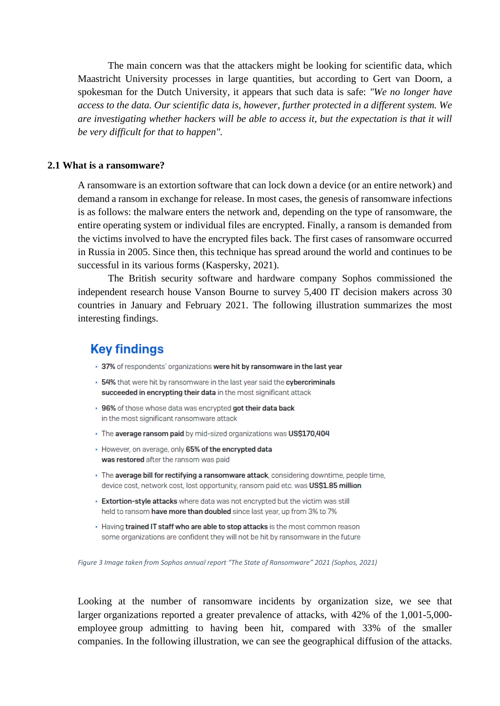The main concern was that the attackers might be looking for scientific data, which Maastricht University processes in large quantities, but according to Gert van Doorn, a spokesman for the Dutch University, it appears that such data is safe: *"We no longer have access to the data. Our scientific data is, however, further protected in a different system. We are investigating whether hackers will be able to access it, but the expectation is that it will be very difficult for that to happen".*

#### **2.1 What is a ransomware?**

A ransomware is an extortion software that can lock down a device (or an entire network) and demand a ransom in exchange for release. In most cases, the genesis of ransomware infections is as follows: the malware enters the network and, depending on the type of ransomware, the entire operating system or individual files are encrypted. Finally, a ransom is demanded from the victims involved to have the encrypted files back. The first cases of ransomware occurred in Russia in 2005. Since then, this technique has spread around the world and continues to be successful in its various forms (Kaspersky, 2021).

The British security software and hardware company Sophos commissioned the independent research house Vanson Bourne to survey 5,400 IT decision makers across 30 countries in January and February 2021. The following illustration summarizes the most interesting findings.

# **Key findings**

- ▸ 37% of respondents' organizations were hit by ransomware in the last year
- ▸ 54% that were hit by ransomware in the last year said the cybercriminals succeeded in encrypting their data in the most significant attack
- ▸ 96% of those whose data was encrypted got their data back in the most significant ransomware attack
- The average ransom paid by mid-sized organizations was US\$170.404
- However, on average, only 65% of the encrypted data was restored after the ransom was paid
- > The average bill for rectifying a ransomware attack, considering downtime, people time, device cost, network cost, lost opportunity, ransom paid etc. was US\$1.85 million
- Extortion-style attacks where data was not encrypted but the victim was still held to ransom have more than doubled since last year, up from 3% to 7%
- Having trained IT staff who are able to stop attacks is the most common reason some organizations are confident they will not be hit by ransomware in the future

*Figure 3 Image taken from Sophos annual report "The State of Ransomware" 2021 (Sophos, 2021)*

Looking at the number of ransomware incidents by organization size, we see that larger organizations reported a greater prevalence of attacks, with 42% of the 1,001-5,000 employee group admitting to having been hit, compared with 33% of the smaller companies. In the following illustration, we can see the geographical diffusion of the attacks.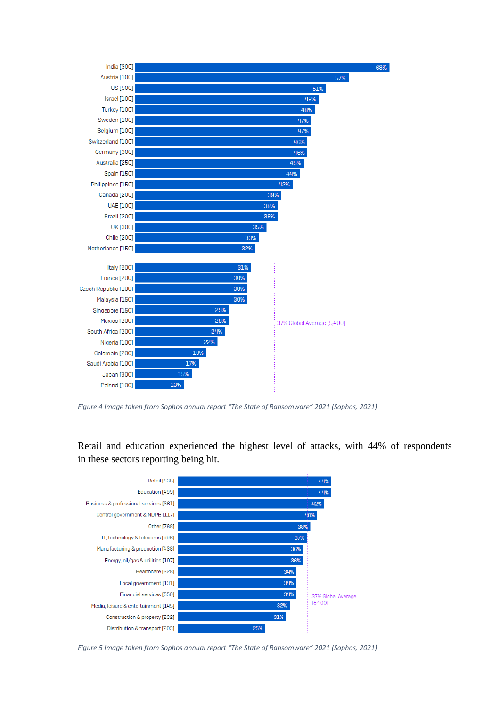

*Figure 4 Image taken from Sophos annual report "The State of Ransomware" 2021 (Sophos, 2021)*

Retail and education experienced the highest level of attacks, with 44% of respondents in these sectors reporting being hit.



*Figure 5 Image taken from Sophos annual report "The State of Ransomware" 2021 (Sophos, 2021)*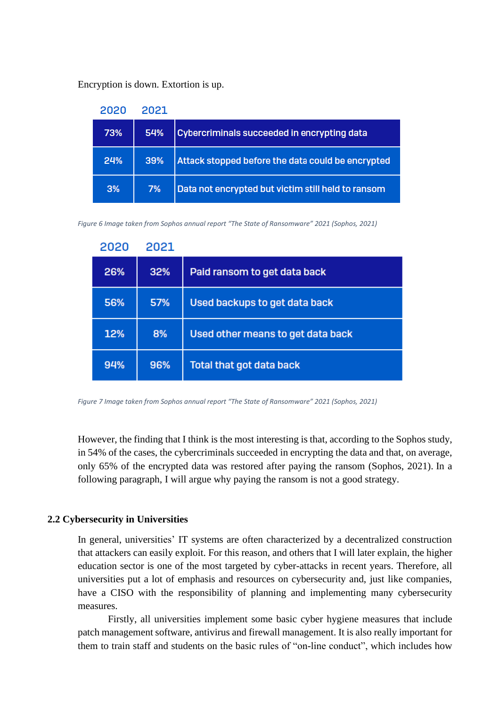Encryption is down. Extortion is up.

| 2020 | 2021 |                                                    |
|------|------|----------------------------------------------------|
| 73%  | 54%  | Cybercriminals succeeded in encrypting data        |
| 24%  | 39%  | Attack stopped before the data could be encrypted  |
| 3%   | 7%   | Data not encrypted but victim still held to ransom |

*Figure 6 Image taken from Sophos annual report "The State of Ransomware" 2021 (Sophos, 2021)*

| 2020 | 2021 |                                   |
|------|------|-----------------------------------|
| 26%  | 32%  | Paid ransom to get data back      |
| 56%  | 57%  | Used backups to get data back     |
| 12%  | 8%   | Used other means to get data back |
| 94%  | 96%  | <b>Total that got data back</b>   |

*Figure 7 Image taken from Sophos annual report "The State of Ransomware" 2021 (Sophos, 2021)*

However, the finding that I think is the most interesting is that, according to the Sophos study, in 54% of the cases, the cybercriminals succeeded in encrypting the data and that, on average, only 65% of the encrypted data was restored after paying the ransom (Sophos, 2021). In a following paragraph, I will argue why paying the ransom is not a good strategy.

## **2.2 Cybersecurity in Universities**

In general, universities' IT systems are often characterized by a decentralized construction that attackers can easily exploit. For this reason, and others that I will later explain, the higher education sector is one of the most targeted by cyber-attacks in recent years. Therefore, all universities put a lot of emphasis and resources on cybersecurity and, just like companies, have a CISO with the responsibility of planning and implementing many cybersecurity measures.

Firstly, all universities implement some basic cyber hygiene measures that include patch management software, antivirus and firewall management. It is also really important for them to train staff and students on the basic rules of "on-line conduct", which includes how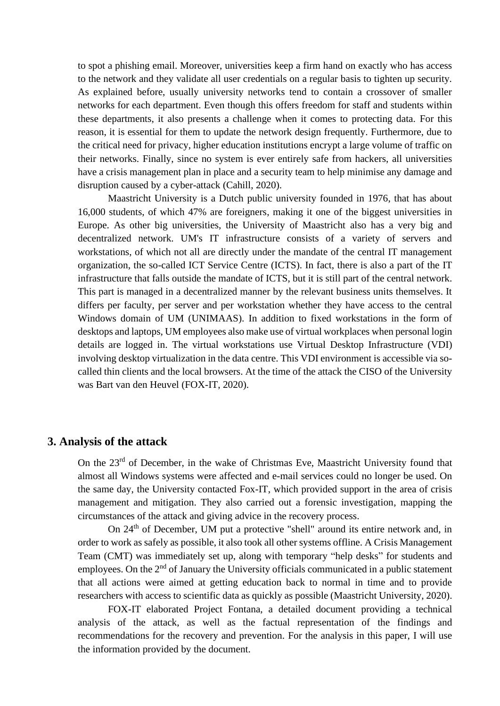to spot a phishing email. Moreover, universities keep a firm hand on exactly who has access to the network and they validate all user credentials on a regular basis to tighten up security. As explained before, usually university networks tend to contain a crossover of smaller networks for each department. Even though this offers freedom for staff and students within these departments, it also presents a challenge when it comes to protecting data. For this reason, it is essential for them to update the network design frequently. Furthermore, due to the critical need for privacy, higher education institutions encrypt a large volume of traffic on their networks. Finally, since no system is ever entirely safe from hackers, all universities have a crisis management plan in place and a security team to help minimise any damage and disruption caused by a cyber-attack (Cahill, 2020).

Maastricht University is a Dutch public university founded in 1976, that has about 16,000 students, of which 47% are foreigners, making it one of the biggest universities in Europe. As other big universities, the University of Maastricht also has a very big and decentralized network. UM's IT infrastructure consists of a variety of servers and workstations, of which not all are directly under the mandate of the central IT management organization, the so-called ICT Service Centre (ICTS). In fact, there is also a part of the IT infrastructure that falls outside the mandate of ICTS, but it is still part of the central network. This part is managed in a decentralized manner by the relevant business units themselves. It differs per faculty, per server and per workstation whether they have access to the central Windows domain of UM (UNIMAAS). In addition to fixed workstations in the form of desktops and laptops, UM employees also make use of virtual workplaces when personal login details are logged in. The virtual workstations use Virtual Desktop Infrastructure (VDI) involving desktop virtualization in the data centre. This VDI environment is accessible via socalled thin clients and the local browsers. At the time of the attack the CISO of the University was Bart van den Heuvel (FOX-IT, 2020).

## **3. Analysis of the attack**

On the 23<sup>rd</sup> of December, in the wake of Christmas Eve, Maastricht University found that almost all Windows systems were affected and e-mail services could no longer be used. On the same day, the University contacted Fox-IT, which provided support in the area of crisis management and mitigation. They also carried out a forensic investigation, mapping the circumstances of the attack and giving advice in the recovery process.

On 24<sup>th</sup> of December, UM put a protective "shell" around its entire network and, in order to work as safely as possible, it also took all other systems offline. A Crisis Management Team (CMT) was immediately set up, along with temporary "help desks" for students and employees. On the  $2<sup>nd</sup>$  of January the University officials communicated in a public statement that all actions were aimed at getting education back to normal in time and to provide researchers with access to scientific data as quickly as possible (Maastricht University, 2020).

FOX-IT elaborated Project Fontana, a detailed document providing a technical analysis of the attack, as well as the factual representation of the findings and recommendations for the recovery and prevention. For the analysis in this paper, I will use the information provided by the document.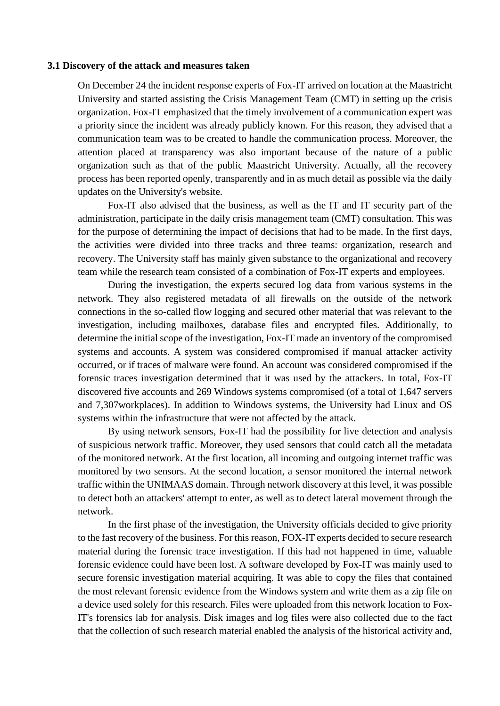#### **3.1 Discovery of the attack and measures taken**

On December 24 the incident response experts of Fox-IT arrived on location at the Maastricht University and started assisting the Crisis Management Team (CMT) in setting up the crisis organization. Fox-IT emphasized that the timely involvement of a communication expert was a priority since the incident was already publicly known. For this reason, they advised that a communication team was to be created to handle the communication process. Moreover, the attention placed at transparency was also important because of the nature of a public organization such as that of the public Maastricht University. Actually, all the recovery process has been reported openly, transparently and in as much detail as possible via the daily updates on the University's website.

Fox-IT also advised that the business, as well as the IT and IT security part of the administration, participate in the daily crisis management team (CMT) consultation. This was for the purpose of determining the impact of decisions that had to be made. In the first days, the activities were divided into three tracks and three teams: organization, research and recovery. The University staff has mainly given substance to the organizational and recovery team while the research team consisted of a combination of Fox-IT experts and employees.

During the investigation, the experts secured log data from various systems in the network. They also registered metadata of all firewalls on the outside of the network connections in the so-called flow logging and secured other material that was relevant to the investigation, including mailboxes, database files and encrypted files. Additionally, to determine the initial scope of the investigation, Fox-IT made an inventory of the compromised systems and accounts. A system was considered compromised if manual attacker activity occurred, or if traces of malware were found. An account was considered compromised if the forensic traces investigation determined that it was used by the attackers. In total, Fox-IT discovered five accounts and 269 Windows systems compromised (of a total of 1,647 servers and 7,307workplaces). In addition to Windows systems, the University had Linux and OS systems within the infrastructure that were not affected by the attack.

By using network sensors, Fox-IT had the possibility for live detection and analysis of suspicious network traffic. Moreover, they used sensors that could catch all the metadata of the monitored network. At the first location, all incoming and outgoing internet traffic was monitored by two sensors. At the second location, a sensor monitored the internal network traffic within the UNIMAAS domain. Through network discovery at this level, it was possible to detect both an attackers' attempt to enter, as well as to detect lateral movement through the network.

In the first phase of the investigation, the University officials decided to give priority to the fast recovery of the business. For this reason, FOX-IT experts decided to secure research material during the forensic trace investigation. If this had not happened in time, valuable forensic evidence could have been lost. A software developed by Fox-IT was mainly used to secure forensic investigation material acquiring. It was able to copy the files that contained the most relevant forensic evidence from the Windows system and write them as a zip file on a device used solely for this research. Files were uploaded from this network location to Fox-IT's forensics lab for analysis. Disk images and log files were also collected due to the fact that the collection of such research material enabled the analysis of the historical activity and,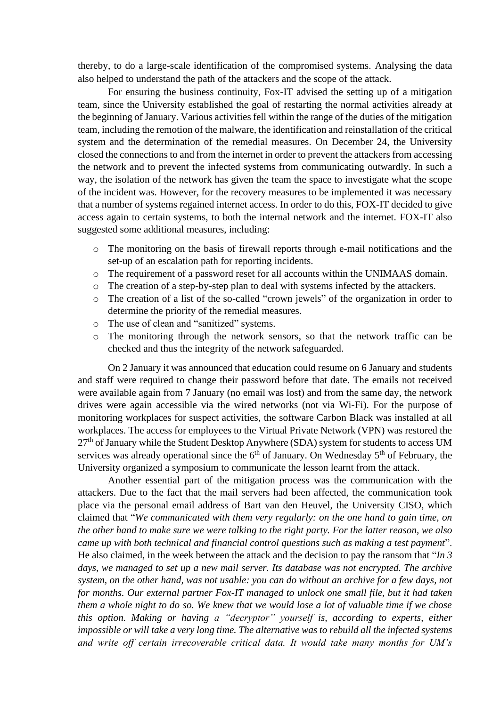thereby, to do a large-scale identification of the compromised systems. Analysing the data also helped to understand the path of the attackers and the scope of the attack.

For ensuring the business continuity, Fox-IT advised the setting up of a mitigation team, since the University established the goal of restarting the normal activities already at the beginning of January. Various activities fell within the range of the duties of the mitigation team, including the remotion of the malware, the identification and reinstallation of the critical system and the determination of the remedial measures. On December 24, the University closed the connections to and from the internet in order to prevent the attackers from accessing the network and to prevent the infected systems from communicating outwardly. In such a way, the isolation of the network has given the team the space to investigate what the scope of the incident was. However, for the recovery measures to be implemented it was necessary that a number of systems regained internet access. In order to do this, FOX-IT decided to give access again to certain systems, to both the internal network and the internet. FOX-IT also suggested some additional measures, including:

- o The monitoring on the basis of firewall reports through e-mail notifications and the set-up of an escalation path for reporting incidents.
- o The requirement of a password reset for all accounts within the UNIMAAS domain.
- o The creation of a step-by-step plan to deal with systems infected by the attackers.
- o The creation of a list of the so-called "crown jewels" of the organization in order to determine the priority of the remedial measures.
- o The use of clean and "sanitized" systems.
- o The monitoring through the network sensors, so that the network traffic can be checked and thus the integrity of the network safeguarded.

On 2 January it was announced that education could resume on 6 January and students and staff were required to change their password before that date. The emails not received were available again from 7 January (no email was lost) and from the same day, the network drives were again accessible via the wired networks (not via Wi-Fi). For the purpose of monitoring workplaces for suspect activities, the software Carbon Black was installed at all workplaces. The access for employees to the Virtual Private Network (VPN) was restored the 27<sup>th</sup> of January while the Student Desktop Anywhere (SDA) system for students to access UM services was already operational since the  $6<sup>th</sup>$  of January. On Wednesday  $5<sup>th</sup>$  of February, the University organized a symposium to communicate the lesson learnt from the attack.

Another essential part of the mitigation process was the communication with the attackers. Due to the fact that the mail servers had been affected, the communication took place via the personal email address of Bart van den Heuvel, the University CISO, which claimed that "*We communicated with them very regularly: on the one hand to gain time, on the other hand to make sure we were talking to the right party. For the latter reason, we also came up with both technical and financial control questions such as making a test payment*". He also claimed, in the week between the attack and the decision to pay the ransom that "*In 3 days, we managed to set up a new mail server. Its database was not encrypted. The archive system, on the other hand, was not usable: you can do without an archive for a few days, not for months. Our external partner Fox-IT managed to unlock one small file, but it had taken them a whole night to do so. We knew that we would lose a lot of valuable time if we chose this option. Making or having a "decryptor" yourself is, according to experts, either impossible or will take a very long time. The alternative was to rebuild all the infected systems and write off certain irrecoverable critical data. It would take many months for UM's*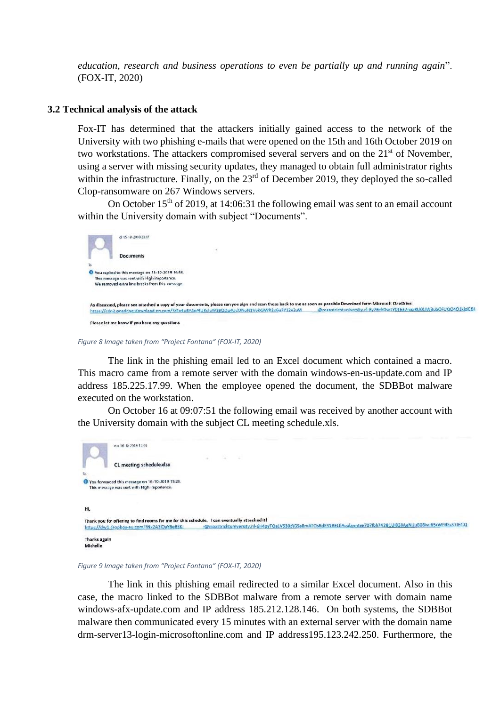*education, research and business operations to even be partially up and running again*". (FOX-IT, 2020)

#### **3.2 Technical analysis of the attack**

Fox-IT has determined that the attackers initially gained access to the network of the University with two phishing e-mails that were opened on the 15th and 16th October 2019 on two workstations. The attackers compromised several servers and on the 21<sup>st</sup> of November, using a server with missing security updates, they managed to obtain full administrator rights within the infrastructure. Finally, on the 23<sup>rd</sup> of December 2019, they deployed the so-called Clop-ransomware on 267 Windows servers.

On October  $15<sup>th</sup>$  of 2019, at 14:06:31 the following email was sent to an email account within the University domain with subject "Documents".



#### *Figure 8 Image taken from "Project Fontana" (FOX-IT, 2020)*

The link in the phishing email led to an Excel document which contained a macro. This macro came from a remote server with the domain windows-en-us-update.com and IP address 185.225.17.99. When the employee opened the document, the SDBBot malware executed on the workstation.

On October 16 at 09:07:51 the following email was received by another account with the University domain with the subject CL meeting schedule.xls.

| v.o 16-10-2019 14:05                                                                                                                        |  |                                                                                                                  |  |
|---------------------------------------------------------------------------------------------------------------------------------------------|--|------------------------------------------------------------------------------------------------------------------|--|
|                                                                                                                                             |  |                                                                                                                  |  |
| CL meeting schedule.xlsx                                                                                                                    |  |                                                                                                                  |  |
|                                                                                                                                             |  |                                                                                                                  |  |
| Vou forwarded this message on 16-10-2019 15:28.<br>This message was sent with High importance.                                              |  |                                                                                                                  |  |
| HI.                                                                                                                                         |  |                                                                                                                  |  |
| Thank you for offering to find rooms for me for this schedule. I can eventually attached it!<br>https://dw1.dropbox-eu.com/?Nx2A3lOyY6e85K- |  | :@maastrichtuniversity.nl-6H4pyTOa1V530zYG5a8mATOs6dE31BELIlAoobymtee707lbh74281Ui83llAeNUuB08ivu65rWFNEs37lE4IQ |  |
| Thanks again<br>Michelle                                                                                                                    |  |                                                                                                                  |  |

*Figure 9 Image taken from "Project Fontana" (FOX-IT, 2020)*

The link in this phishing email redirected to a similar Excel document. Also in this case, the macro linked to the SDBBot malware from a remote server with domain name windows-afx-update.com and IP address 185.212.128.146. On both systems, the SDBBot malware then communicated every 15 minutes with an external server with the domain name drm-server13-login-microsoftonline.com and IP address195.123.242.250. Furthermore, the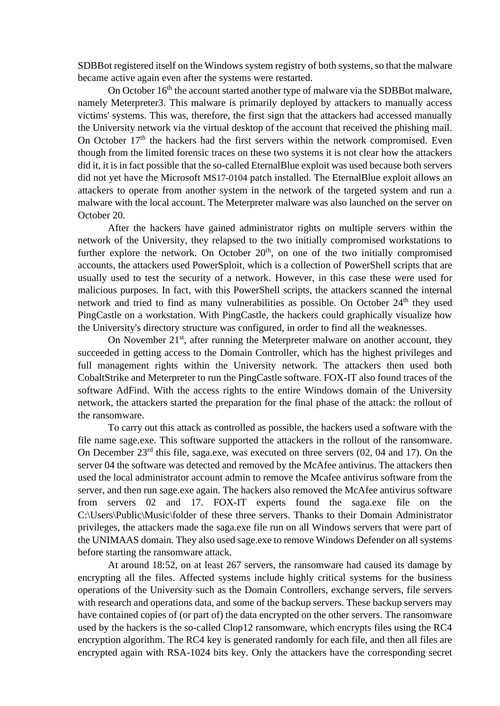SDBBot registered itself on the Windows system registry of both systems, so that the malware became active again even after the systems were restarted.

On October 16<sup>th</sup> the account started another type of malware via the SDBBot malware, namely Meterpreter3. This malware is primarily deployed by attackers to manually access victims' systems. This was, therefore, the first sign that the attackers had accessed manually the University network via the virtual desktop of the account that received the phishing mail. On October  $17<sup>th</sup>$  the hackers had the first servers within the network compromised. Even though from the limited forensic traces on these two systems it is not clear how the attackers did it, it is in fact possible that the so-called EternalBlue exploit was used because both servers did not yet have the Microsoft MS17-0104 patch installed. The EternalBlue exploit allows an attackers to operate from another system in the network of the targeted system and run a malware with the local account. The Meterpreter malware was also launched on the server on October 20.

After the hackers have gained administrator rights on multiple servers within the network of the University, they relapsed to the two initially compromised workstations to further explore the network. On October  $20<sup>th</sup>$ , on one of the two initially compromised accounts, the attackers used PowerSploit, which is a collection of PowerShell scripts that are usually used to test the security of a network. However, in this case these were used for malicious purposes. In fact, with this PowerShell scripts, the attackers scanned the internal network and tried to find as many vulnerabilities as possible. On October  $24<sup>th</sup>$  they used PingCastle on a workstation. With PingCastle, the hackers could graphically visualize how the University's directory structure was configured, in order to find all the weaknesses.

On November 21<sup>st</sup>, after running the Meterpreter malware on another account, they succeeded in getting access to the Domain Controller, which has the highest privileges and full management rights within the University network. The attackers then used both CobaltStrike and Meterpreter to run the PingCastle software. FOX-IT also found traces of the software AdFind. With the access rights to the entire Windows domain of the University network, the attackers started the preparation for the final phase of the attack: the rollout of the ransomware.

To carry out this attack as controlled as possible, the hackers used a software with the file name sage.exe. This software supported the attackers in the rollout of the ransomware. On December 23<sup>rd</sup> this file, saga.exe, was executed on three servers (02, 04 and 17). On the server 04 the software was detected and removed by the McAfee antivirus. The attackers then used the local administrator account admin to remove the Mcafee antivirus software from the server, and then run sage.exe again. The hackers also removed the McAfee antivirus software from servers 02 and 17. FOX-IT experts found the saga.exe file on the C:\Users\Public\Music\folder of these three servers. Thanks to their Domain Administrator privileges, the attackers made the saga.exe file run on all Windows servers that were part of the UNIMAAS domain. They also used sage.exe to remove Windows Defender on all systems before starting the ransomware attack.

At around 18:52, on at least 267 servers, the ransomware had caused its damage by encrypting all the files. Affected systems include highly critical systems for the business operations of the University such as the Domain Controllers, exchange servers, file servers with research and operations data, and some of the backup servers. These backup servers may have contained copies of (or part of) the data encrypted on the other servers. The ransomware used by the hackers is the so-called Clop12 ransomware, which encrypts files using the RC4 encryption algorithm. The RC4 key is generated randomly for each file, and then all files are encrypted again with RSA-1024 bits key. Only the attackers have the corresponding secret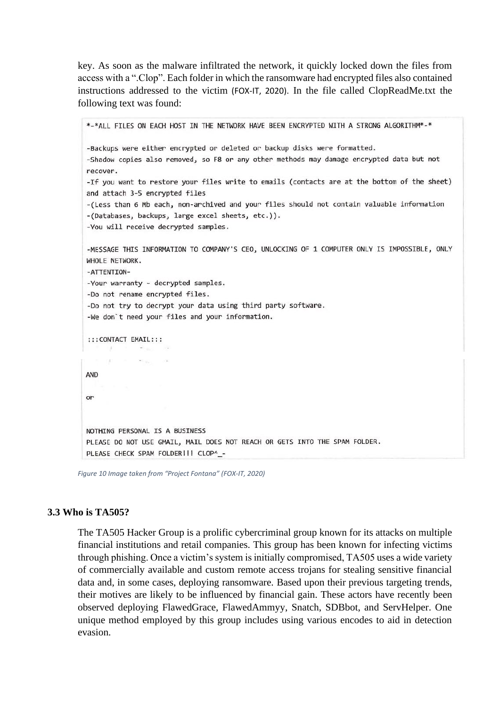key. As soon as the malware infiltrated the network, it quickly locked down the files from access with a ".Clop". Each folder in which the ransomware had encrypted files also contained instructions addressed to the victim (FOX-IT, 2020). In the file called ClopReadMe.txt the following text was found:

```
*-*ALL FILES ON EACH HOST IN THE NETWORK HAVE BEEN ENCRYPTED WITH A STRONG ALGORITHM*-*
-Backups were either encrypted or deleted or backup disks were formatted.
-Shadow copies also removed, so F8 or any other methods may damage encrypted data but not
recover.
-If you want to restore your files write to emails (contacts are at the bottom of the sheet)
and attach 3-5 encrypted files
-(Less than 6 Mb each, non-archived and your files should not contain valuable information
-(Databases, backups, large excel sheets, etc.)).
-You will receive decrypted samples.
-MESSAGE THIS INFORMATION TO COMPANY'S CEO, UNLOCKING OF 1 COMPUTER ONLY IS IMPOSSIBLE, ONLY
WHOLE NETWORK.
-ATTENTION-
-Your warranty - decrypted samples.
-Do not rename encrypted files.
-Do not try to decrypt your data using third party software.
-We don't need your files and your information.
:::CONTACT EMAIL:::
             Project
     19
AND
or
NOTHING PERSONAL IS A BUSINESS
PLEASE DO NOT USE GMAIL, MAIL DOES NOT REACH OR GETS INTO THE SPAM FOLDER.
PLEASE CHECK SPAM FOLDER !!! CLOP^_-
```
*Figure 10 Image taken from "Project Fontana" (FOX-IT, 2020)*

## **3.3 Who is TA505?**

The TA505 Hacker Group is a prolific cybercriminal group known for its attacks on multiple financial institutions and retail companies. This group has been known for infecting victims through phishing. Once a victim's system is initially compromised, TA505 uses a wide variety of commercially available and custom remote access trojans for stealing sensitive financial data and, in some cases, deploying ransomware. Based upon their previous targeting trends, their motives are likely to be influenced by financial gain. These actors have recently been observed deploying FlawedGrace, FlawedAmmyy, Snatch, SDBbot, and ServHelper. One unique method employed by this group includes using various encodes to aid in detection evasion.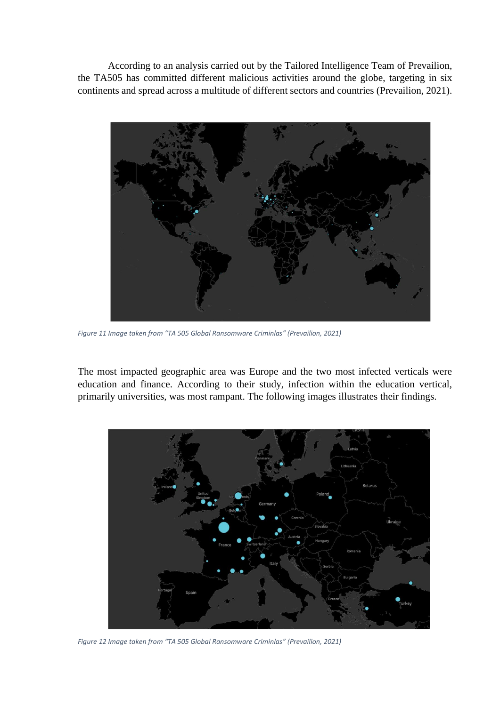According to an analysis carried out by the Tailored Intelligence Team of Prevailion, the TA505 has committed different malicious activities around the globe, targeting in six continents and spread across a multitude of different sectors and countries (Prevailion, 2021).



*Figure 11 Image taken from "TA 505 Global Ransomware Criminlas" (Prevailion, 2021)*

The most impacted geographic area was Europe and the two most infected verticals were education and finance. According to their study, infection within the education vertical, primarily universities, was most rampant. The following images illustrates their findings.



*Figure 12 Image taken from "TA 505 Global Ransomware Criminlas" (Prevailion, 2021)*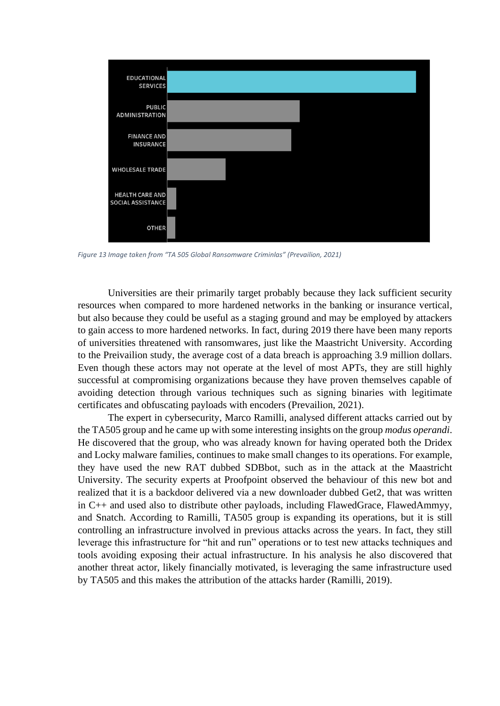

*Figure 13 Image taken from "TA 505 Global Ransomware Criminlas" (Prevailion, 2021)*

Universities are their primarily target probably because they lack sufficient security resources when compared to more hardened networks in the banking or insurance vertical, but also because they could be useful as a staging ground and may be employed by attackers to gain access to more hardened networks. In fact, during 2019 there have been many reports of universities threatened with ransomwares, just like the Maastricht University. According to the Preivailion study, the average cost of a data breach is approaching 3.9 million dollars. Even though these actors may not operate at the level of most APTs, they are still highly successful at compromising organizations because they have proven themselves capable of avoiding detection through various techniques such as signing binaries with legitimate certificates and obfuscating payloads with encoders (Prevailion, 2021).

The expert in cybersecurity, Marco Ramilli, analysed different attacks carried out by the TA505 group and he came up with some interesting insights on the group *modus operandi*. He discovered that the group, who was already known for having operated both the Dridex and Locky malware families, continues to make small changes to its operations. For example, they have used the new RAT dubbed SDBbot, such as in the attack at the Maastricht University. The security experts at Proofpoint observed the behaviour of this new bot and realized that it is a backdoor delivered via a new downloader dubbed Get2, that was written in C++ and used also to distribute other payloads, including FlawedGrace, FlawedAmmyy, and Snatch. According to Ramilli, TA505 group is expanding its operations, but it is still controlling an infrastructure involved in previous attacks across the years. In fact, they still leverage this infrastructure for "hit and run" operations or to test new attacks techniques and tools avoiding exposing their actual infrastructure. In his analysis he also discovered that another threat actor, likely financially motivated, is leveraging the same infrastructure used by TA505 and this makes the attribution of the attacks harder (Ramilli, 2019).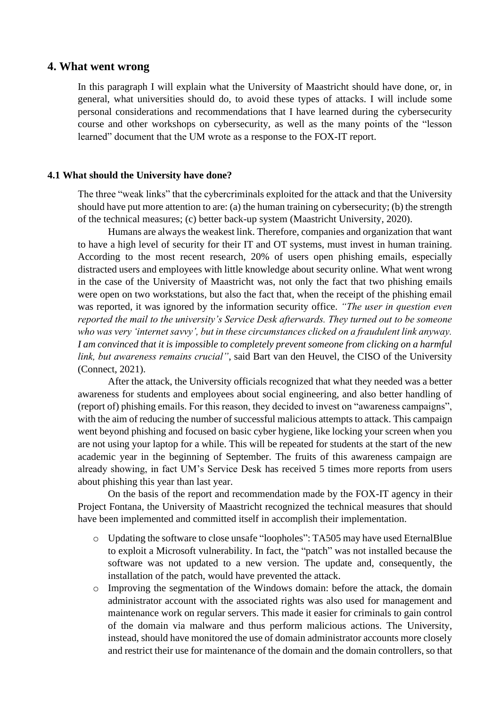## **4. What went wrong**

In this paragraph I will explain what the University of Maastricht should have done, or, in general, what universities should do, to avoid these types of attacks. I will include some personal considerations and recommendations that I have learned during the cybersecurity course and other workshops on cybersecurity, as well as the many points of the "lesson learned" document that the UM wrote as a response to the FOX-IT report.

#### **4.1 What should the University have done?**

The three "weak links" that the cybercriminals exploited for the attack and that the University should have put more attention to are: (a) the human training on cybersecurity; (b) the strength of the technical measures; (c) better back-up system (Maastricht University, 2020).

Humans are always the weakest link. Therefore, companies and organization that want to have a high level of security for their IT and OT systems, must invest in human training. According to the most recent research, 20% of users open phishing emails, especially distracted users and employees with little knowledge about security online. What went wrong in the case of the University of Maastricht was, not only the fact that two phishing emails were open on two workstations, but also the fact that, when the receipt of the phishing email was reported, it was ignored by the information security office. *"The user in question even reported the mail to the university's Service Desk afterwards. They turned out to be someone who was very 'internet savvy', but in these circumstances clicked on a fraudulent link anyway. I am convinced that it is impossible to completely prevent someone from clicking on a harmful link, but awareness remains crucial"*, said Bart van den Heuvel, the CISO of the University (Connect, 2021).

After the attack, the University officials recognized that what they needed was a better awareness for students and employees about social engineering, and also better handling of (report of) phishing emails. For this reason, they decided to invest on "awareness campaigns", with the aim of reducing the number of successful malicious attempts to attack. This campaign went beyond phishing and focused on basic cyber hygiene, like locking your screen when you are not using your laptop for a while. This will be repeated for students at the start of the new academic year in the beginning of September. The fruits of this awareness campaign are already showing, in fact UM's Service Desk has received 5 times more reports from users about phishing this year than last year.

On the basis of the report and recommendation made by the FOX-IT agency in their Project Fontana, the University of Maastricht recognized the technical measures that should have been implemented and committed itself in accomplish their implementation.

- o Updating the software to close unsafe "loopholes": TA505 may have used EternalBlue to exploit a Microsoft vulnerability. In fact, the "patch" was not installed because the software was not updated to a new version. The update and, consequently, the installation of the patch, would have prevented the attack.
- o Improving the segmentation of the Windows domain: before the attack, the domain administrator account with the associated rights was also used for management and maintenance work on regular servers. This made it easier for criminals to gain control of the domain via malware and thus perform malicious actions. The University, instead, should have monitored the use of domain administrator accounts more closely and restrict their use for maintenance of the domain and the domain controllers, so that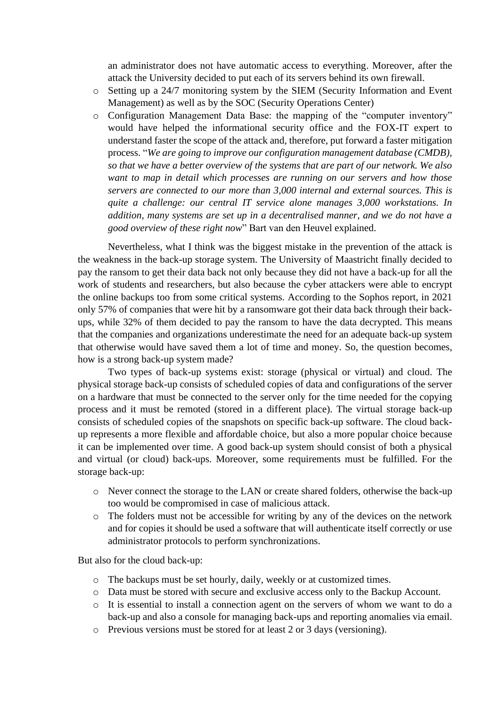an administrator does not have automatic access to everything. Moreover, after the attack the University decided to put each of its servers behind its own firewall.

- o Setting up a 24/7 monitoring system by the SIEM (Security Information and Event Management) as well as by the SOC (Security Operations Center)
- o Configuration Management Data Base: the mapping of the "computer inventory" would have helped the informational security office and the FOX-IT expert to understand faster the scope of the attack and, therefore, put forward a faster mitigation process. "*We are going to improve our configuration management database (CMDB), so that we have a better overview of the systems that are part of our network. We also want to map in detail which processes are running on our servers and how those servers are connected to our more than 3,000 internal and external sources. This is quite a challenge: our central IT service alone manages 3,000 workstations. In addition, many systems are set up in a decentralised manner, and we do not have a good overview of these right now*" Bart van den Heuvel explained.

Nevertheless, what I think was the biggest mistake in the prevention of the attack is the weakness in the back-up storage system. The University of Maastricht finally decided to pay the ransom to get their data back not only because they did not have a back-up for all the work of students and researchers, but also because the cyber attackers were able to encrypt the online backups too from some critical systems. According to the Sophos report, in 2021 only 57% of companies that were hit by a ransomware got their data back through their backups, while 32% of them decided to pay the ransom to have the data decrypted. This means that the companies and organizations underestimate the need for an adequate back-up system that otherwise would have saved them a lot of time and money. So, the question becomes, how is a strong back-up system made?

Two types of back-up systems exist: storage (physical or virtual) and cloud. The physical storage back-up consists of scheduled copies of data and configurations of the server on a hardware that must be connected to the server only for the time needed for the copying process and it must be remoted (stored in a different place). The virtual storage back-up consists of scheduled copies of the snapshots on specific back-up software. The cloud backup represents a more flexible and affordable choice, but also a more popular choice because it can be implemented over time. A good back-up system should consist of both a physical and virtual (or cloud) back-ups. Moreover, some requirements must be fulfilled. For the storage back-up:

- o Never connect the storage to the LAN or create shared folders, otherwise the back-up too would be compromised in case of malicious attack.
- o The folders must not be accessible for writing by any of the devices on the network and for copies it should be used a software that will authenticate itself correctly or use administrator protocols to perform synchronizations.

But also for the cloud back-up:

- o The backups must be set hourly, daily, weekly or at customized times.
- o Data must be stored with secure and exclusive access only to the Backup Account.
- o It is essential to install a connection agent on the servers of whom we want to do a back-up and also a console for managing back-ups and reporting anomalies via email.
- o Previous versions must be stored for at least 2 or 3 days (versioning).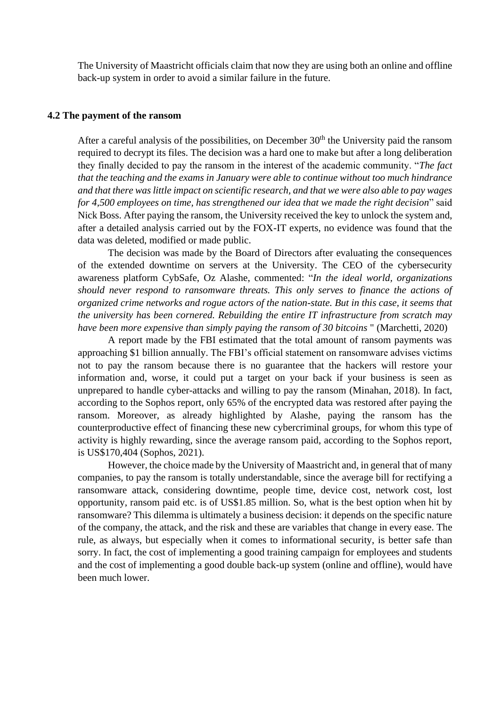The University of Maastricht officials claim that now they are using both an online and offline back-up system in order to avoid a similar failure in the future.

#### **4.2 The payment of the ransom**

After a careful analysis of the possibilities, on December  $30<sup>th</sup>$  the University paid the ransom required to decrypt its files. The decision was a hard one to make but after a long deliberation they finally decided to pay the ransom in the interest of the academic community. "*The fact that the teaching and the exams in January were able to continue without too much hindrance and that there was little impact on scientific research, and that we were also able to pay wages for 4,500 employees on time, has strengthened our idea that we made the right decision*" said Nick Boss. After paying the ransom, the University received the key to unlock the system and, after a detailed analysis carried out by the FOX-IT experts, no evidence was found that the data was deleted, modified or made public.

The decision was made by the Board of Directors after evaluating the consequences of the extended downtime on servers at the University. The CEO of the cybersecurity awareness platform CybSafe, Oz Alashe, commented: "*In the ideal world, organizations should never respond to ransomware threats. This only serves to finance the actions of organized crime networks and rogue actors of the nation-state. But in this case, it seems that the university has been cornered. Rebuilding the entire IT infrastructure from scratch may have been more expensive than simply paying the ransom of 30 bitcoins* " (Marchetti, 2020)

A report made by the FBI estimated that the total amount of ransom payments was approaching \$1 billion annually. The FBI's official statement on ransomware advises victims not to pay the ransom because there is no guarantee that the hackers will restore your information and, worse, it could put a target on your back if your business is seen as unprepared to handle cyber-attacks and willing to pay the ransom (Minahan, 2018). In fact, according to the Sophos report, only 65% of the encrypted data was restored after paying the ransom. Moreover, as already highlighted by Alashe, paying the ransom has the counterproductive effect of financing these new cybercriminal groups, for whom this type of activity is highly rewarding, since the average ransom paid, according to the Sophos report, is US\$170,404 (Sophos, 2021).

However, the choice made by the University of Maastricht and, in general that of many companies, to pay the ransom is totally understandable, since the average bill for rectifying a ransomware attack, considering downtime, people time, device cost, network cost, lost opportunity, ransom paid etc. is of US\$1.85 million. So, what is the best option when hit by ransomware? This dilemma is ultimately a business decision: it depends on the specific nature of the company, the attack, and the risk and these are variables that change in every ease. The rule, as always, but especially when it comes to informational security, is better safe than sorry. In fact, the cost of implementing a good training campaign for employees and students and the cost of implementing a good double back-up system (online and offline), would have been much lower.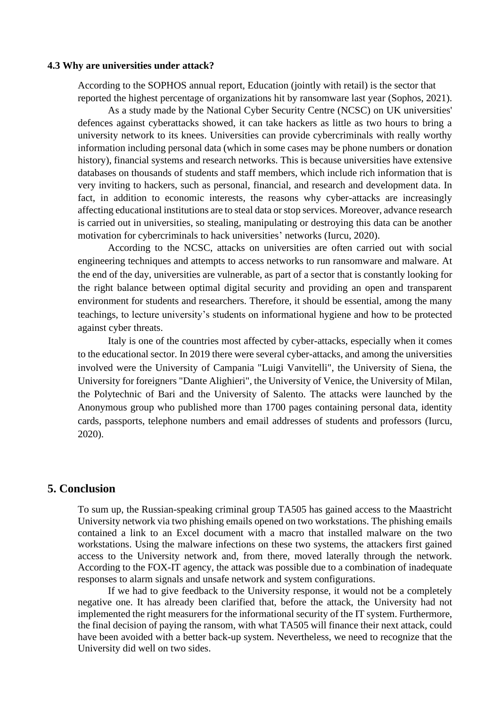#### **4.3 Why are universities under attack?**

According to the SOPHOS annual report, Education (jointly with retail) is the sector that reported the highest percentage of organizations hit by ransomware last year (Sophos, 2021).

As a study made by the National Cyber Security Centre (NCSC) on UK universities' defences against cyberattacks showed, it can take hackers as little as two hours to bring a university network to its knees. Universities can provide cybercriminals with really worthy information including personal data (which in some cases may be phone numbers or donation history), financial systems and research networks. This is because universities have extensive databases on thousands of students and staff members, which include rich information that is very inviting to hackers, such as personal, financial, and research and development data. In fact, in addition to economic interests, the reasons why cyber-attacks are increasingly affecting educational institutions are to steal data or stop services. Moreover, advance research is carried out in universities, so stealing, manipulating or destroying this data can be another motivation for cybercriminals to hack universities' networks (Iurcu, 2020).

According to the NCSC, attacks on universities are often carried out with social engineering techniques and attempts to access networks to run ransomware and malware. At the end of the day, universities are vulnerable, as part of a sector that is constantly looking for the right balance between optimal digital security and providing an open and transparent environment for students and researchers. Therefore, it should be essential, among the many teachings, to lecture university's students on informational hygiene and how to be protected against cyber threats.

Italy is one of the countries most affected by cyber-attacks, especially when it comes to the educational sector. In 2019 there were several cyber-attacks, and among the universities involved were the University of Campania "Luigi Vanvitelli", the University of Siena, the University for foreigners "Dante Alighieri", the University of Venice, the University of Milan, the Polytechnic of Bari and the University of Salento. The attacks were launched by the Anonymous group who published more than 1700 pages containing personal data, identity cards, passports, telephone numbers and email addresses of students and professors (Iurcu, 2020).

## **5. Conclusion**

To sum up, the Russian-speaking criminal group TA505 has gained access to the Maastricht University network via two phishing emails opened on two workstations. The phishing emails contained a link to an Excel document with a macro that installed malware on the two workstations. Using the malware infections on these two systems, the attackers first gained access to the University network and, from there, moved laterally through the network. According to the FOX-IT agency, the attack was possible due to a combination of inadequate responses to alarm signals and unsafe network and system configurations.

If we had to give feedback to the University response, it would not be a completely negative one. It has already been clarified that, before the attack, the University had not implemented the right measurers for the informational security of the IT system. Furthermore, the final decision of paying the ransom, with what TA505 will finance their next attack, could have been avoided with a better back-up system. Nevertheless, we need to recognize that the University did well on two sides.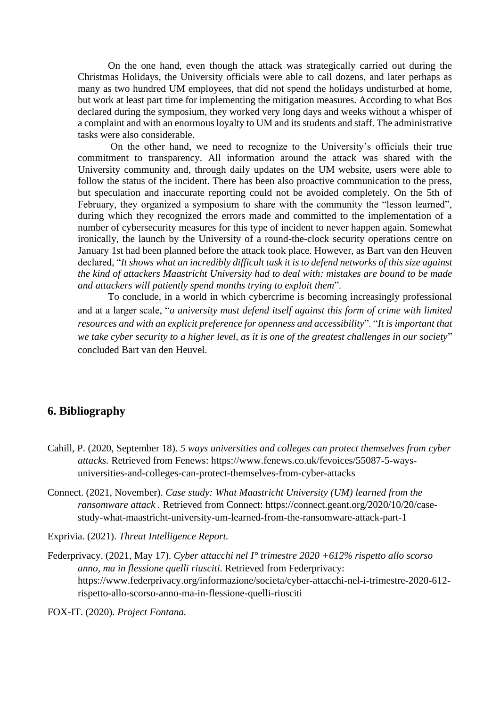On the one hand, even though the attack was strategically carried out during the Christmas Holidays, the University officials were able to call dozens, and later perhaps as many as two hundred UM employees, that did not spend the holidays undisturbed at home, but work at least part time for implementing the mitigation measures. According to what Bos declared during the symposium, they worked very long days and weeks without a whisper of a complaint and with an enormous loyalty to UM and its students and staff. The administrative tasks were also considerable.

On the other hand, we need to recognize to the University's officials their true commitment to transparency. All information around the attack was shared with the University community and, through daily updates on the UM website, users were able to follow the status of the incident. There has been also proactive communication to the press, but speculation and inaccurate reporting could not be avoided completely. On the 5th of February, they organized a symposium to share with the community the "lesson learned", during which they recognized the errors made and committed to the implementation of a number of cybersecurity measures for this type of incident to never happen again. Somewhat ironically, the launch by the University of a round-the-clock security operations centre on January 1st had been planned before the attack took place. However, as Bart van den Heuven declared, "*It shows what an incredibly difficult task it is to defend networks of this size against the kind of attackers Maastricht University had to deal with: mistakes are bound to be made and attackers will patiently spend months trying to exploit them*".

To conclude, in a world in which cybercrime is becoming increasingly professional and at a larger scale, "*a university must defend itself against this form of crime with limited resources and with an explicit preference for openness and accessibility*". "*It is important that we take cyber security to a higher level, as it is one of the greatest challenges in our society*" concluded Bart van den Heuvel.

# **6. Bibliography**

- Cahill, P. (2020, September 18). *5 ways universities and colleges can protect themselves from cyber attacks.* Retrieved from Fenews: https://www.fenews.co.uk/fevoices/55087-5-waysuniversities-and-colleges-can-protect-themselves-from-cyber-attacks
- Connect. (2021, November). *Case study: What Maastricht University (UM) learned from the ransomware attack .* Retrieved from Connect: https://connect.geant.org/2020/10/20/casestudy-what-maastricht-university-um-learned-from-the-ransomware-attack-part-1

Exprivia. (2021). *Threat Intelligence Report.*

Federprivacy. (2021, May 17). *Cyber attacchi nel I° trimestre 2020 +612% rispetto allo scorso anno, ma in flessione quelli riusciti.* Retrieved from Federprivacy: https://www.federprivacy.org/informazione/societa/cyber-attacchi-nel-i-trimestre-2020-612 rispetto-allo-scorso-anno-ma-in-flessione-quelli-riusciti

FOX-IT. (2020). *Project Fontana.*